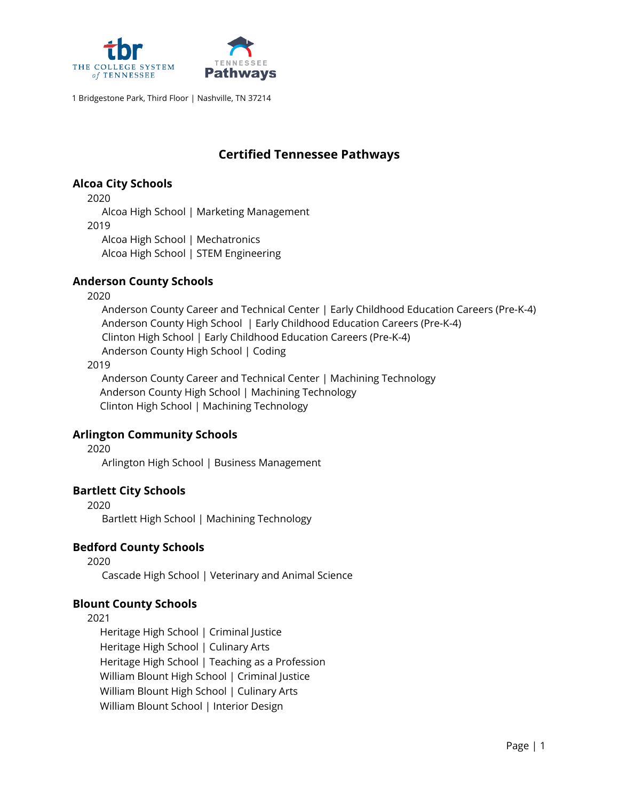

# **Certified Tennessee Pathways**

## **Alcoa City Schools**

2020

Alcoa High School | Marketing Management 2019 Alcoa High School | Mechatronics Alcoa High School | STEM Engineering

# **Anderson County Schools**

2020

Anderson County Career and Technical Center | Early Childhood Education Careers (Pre-K-4) Anderson County High School | Early Childhood Education Careers (Pre-K-4) Clinton High School | Early Childhood Education Careers (Pre-K-4) Anderson County High School | Coding

#### 2019

Anderson County Career and Technical Center | Machining Technology Anderson County High School | Machining Technology Clinton High School | Machining Technology

# **Arlington Community Schools**

2020

Arlington High School | Business Management

# **Bartlett City Schools**

2020

Bartlett High School | Machining Technology

# **Bedford County Schools**

2020

Cascade High School | Veterinary and Animal Science

# **Blount County Schools**

2021

Heritage High School | Criminal Justice Heritage High School | Culinary Arts Heritage High School | Teaching as a Profession William Blount High School | Criminal Justice William Blount High School | Culinary Arts William Blount School | Interior Design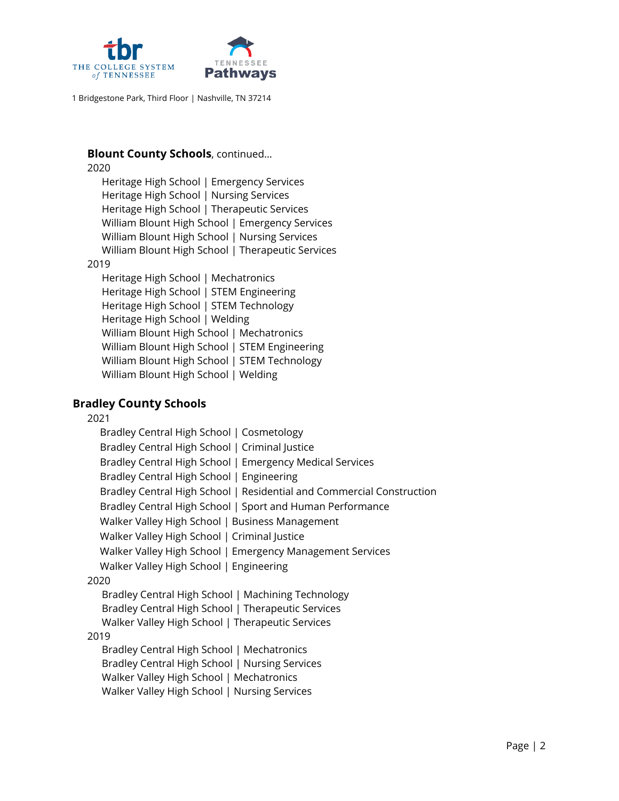

#### **Blount County Schools**, continued…

2020

Heritage High School | Emergency Services Heritage High School | Nursing Services Heritage High School | Therapeutic Services William Blount High School | Emergency Services William Blount High School | Nursing Services William Blount High School | Therapeutic Services

#### 2019

Heritage High School | Mechatronics Heritage High School | STEM Engineering Heritage High School | STEM Technology Heritage High School | Welding William Blount High School | Mechatronics William Blount High School | STEM Engineering William Blount High School | STEM Technology William Blount High School | Welding

### **Bradley County Schools**

2021

| Bradley Central High School   Cosmetology                             |
|-----------------------------------------------------------------------|
| Bradley Central High School   Criminal Justice                        |
| Bradley Central High School   Emergency Medical Services              |
| Bradley Central High School   Engineering                             |
| Bradley Central High School   Residential and Commercial Construction |
| Bradley Central High School   Sport and Human Performance             |
| Walker Valley High School   Business Management                       |
| Walker Valley High School   Criminal Justice                          |
| Walker Valley High School   Emergency Management Services             |
| Walker Valley High School   Engineering                               |
| 2020                                                                  |
| Bradley Central High School   Machining Technology                    |
| Bradley Central High School   Therapeutic Services                    |
| Walker Valley High School   Therapeutic Services                      |
| 2019                                                                  |
| Bradley Central High School   Mechatronics                            |
| Bradley Central High School   Nursing Services                        |
| Walker Valley High School   Mechatronics                              |
| Walker Valley High School   Nursing Services                          |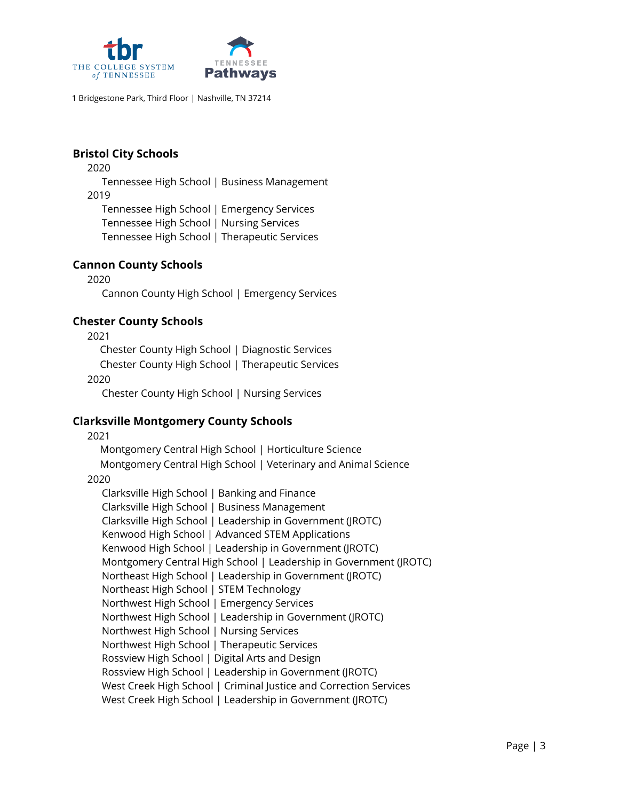

# **Bristol City Schools**

2020

Tennessee High School | Business Management

2019

Tennessee High School | Emergency Services Tennessee High School | Nursing Services Tennessee High School | Therapeutic Services

## **Cannon County Schools**

2020 Cannon County High School | Emergency Services

## **Chester County Schools**

2021

Chester County High School | Diagnostic Services

Chester County High School | Therapeutic Services

2020

Chester County High School | Nursing Services

### **Clarksville Montgomery County Schools**

2021

Montgomery Central High School | Horticulture Science

Montgomery Central High School | Veterinary and Animal Science 2020

Clarksville High School | Banking and Finance Clarksville High School | Business Management Clarksville High School | Leadership in Government (JROTC) Kenwood High School | Advanced STEM Applications Kenwood High School | Leadership in Government (JROTC) Montgomery Central High School | Leadership in Government (JROTC) Northeast High School | Leadership in Government (JROTC) Northeast High School | STEM Technology Northwest High School | Emergency Services Northwest High School | Leadership in Government (JROTC) Northwest High School | Nursing Services Northwest High School | Therapeutic Services Rossview High School | Digital Arts and Design Rossview High School | Leadership in Government (JROTC) West Creek High School | Criminal Justice and Correction Services West Creek High School | Leadership in Government (JROTC)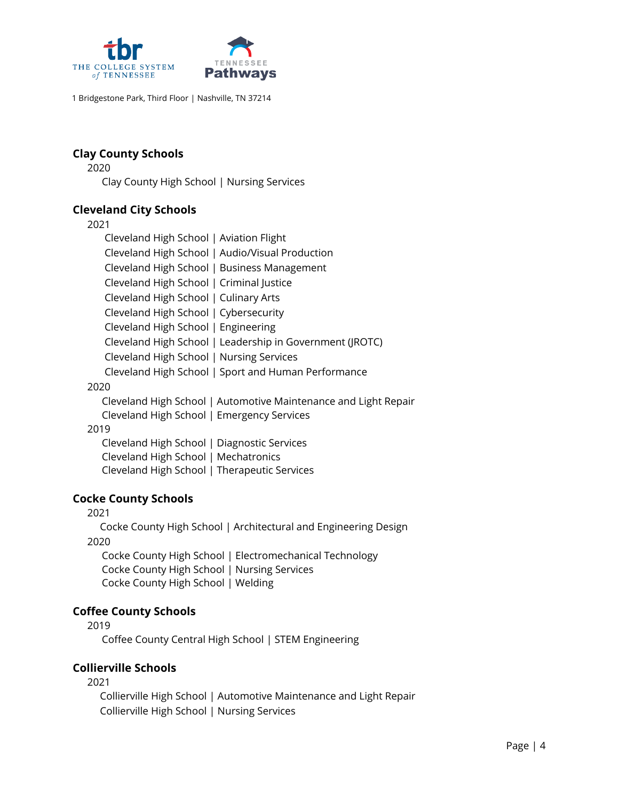

# **Clay County Schools**

2020

Clay County High School | Nursing Services

## **Cleveland City Schools**

2021

| Cleveland High School   Aviation Flight                         |
|-----------------------------------------------------------------|
| Cleveland High School   Audio/Visual Production                 |
| Cleveland High School   Business Management                     |
| Cleveland High School   Criminal Justice                        |
| Cleveland High School   Culinary Arts                           |
| Cleveland High School   Cybersecurity                           |
| Cleveland High School   Engineering                             |
| Cleveland High School   Leadership in Government (JROTC)        |
| Cleveland High School   Nursing Services                        |
| Cleveland High School   Sport and Human Performance             |
| 2020                                                            |
| Cleveland High School   Automotive Maintenance and Light Repair |
| Cleveland High School   Emergency Services                      |
| 2019                                                            |
| Cleveland High School   Diagnostic Services                     |
| Cleveland High School   Mechatronics                            |

Cleveland High School | Therapeutic Services

### **Cocke County Schools**

2021

Cocke County High School | Architectural and Engineering Design 2020 Cocke County High School | Electromechanical Technology Cocke County High School | Nursing Services

Cocke County High School | Welding

# **Coffee County Schools**

2019

Coffee County Central High School | STEM Engineering

# **Collierville Schools**

2021

Collierville High School | Automotive Maintenance and Light Repair Collierville High School | Nursing Services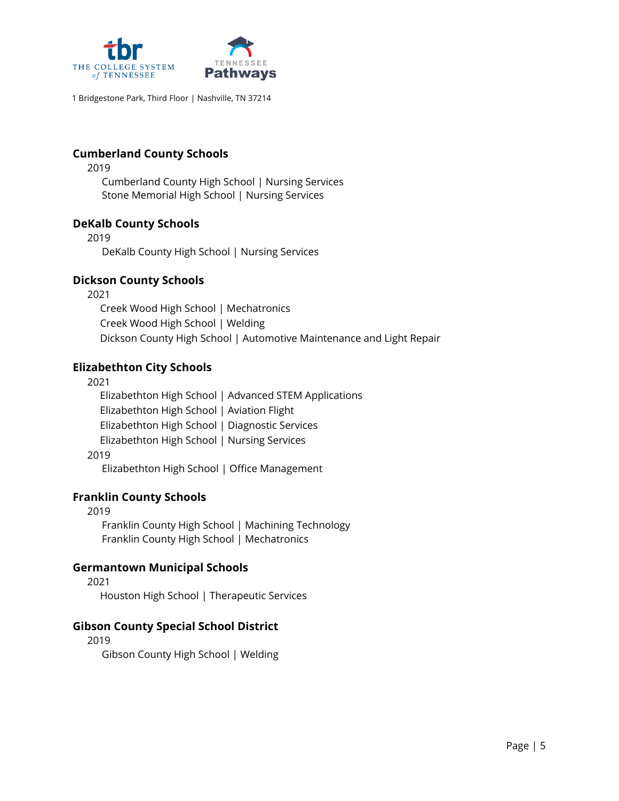

## **Cumberland County Schools**

2019

Cumberland County High School | Nursing Services Stone Memorial High School | Nursing Services

### **DeKalb County Schools**

2019

DeKalb County High School | Nursing Services

## **Dickson County Schools**

2021

Creek Wood High School | Mechatronics Creek Wood High School | Welding Dickson County High School | Automotive Maintenance and Light Repair

## **Elizabethton City Schools**

2021

Elizabethton High School | Advanced STEM Applications Elizabethton High School | Aviation Flight Elizabethton High School | Diagnostic Services Elizabethton High School | Nursing Services

2019

Elizabethton High School | Office Management

# **Franklin County Schools**

2019 Franklin County High School | Machining Technology Franklin County High School | Mechatronics

# **Germantown Municipal Schools**

2021 Houston High School | Therapeutic Services

### **Gibson County Special School District**

2019

Gibson County High School | Welding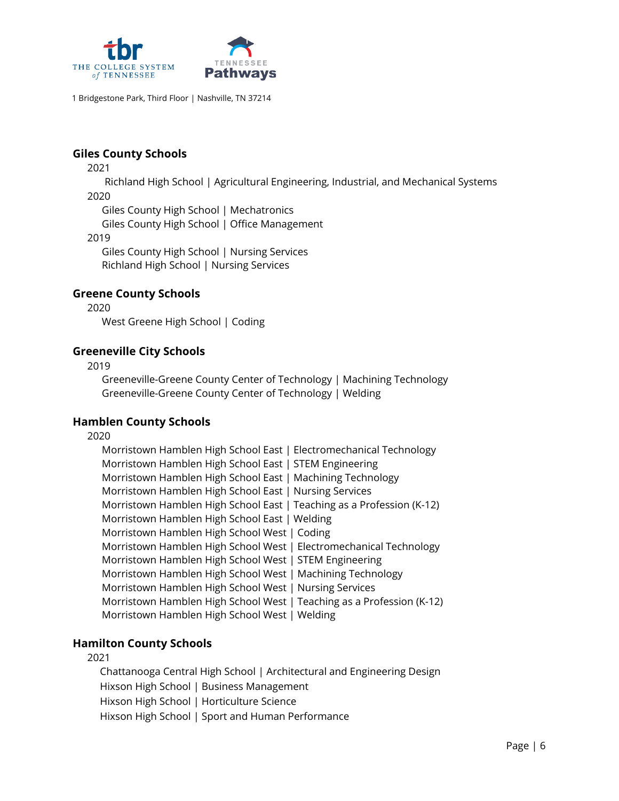

### **Giles County Schools**

2021

Richland High School | Agricultural Engineering, Industrial, and Mechanical Systems 2020

Giles County High School | Mechatronics

Giles County High School | Office Management

2019

Giles County High School | Nursing Services Richland High School | Nursing Services

#### **Greene County Schools**

2020

West Greene High School | Coding

#### **Greeneville City Schools**

2019

Greeneville-Greene County Center of Technology | Machining Technology Greeneville-Greene County Center of Technology | Welding

#### **Hamblen County Schools**

2020

| Morristown Hamblen High School East   Electromechanical Technology    |
|-----------------------------------------------------------------------|
| Morristown Hamblen High School East   STEM Engineering                |
| Morristown Hamblen High School East   Machining Technology            |
| Morristown Hamblen High School East   Nursing Services                |
| Morristown Hamblen High School East   Teaching as a Profession (K-12) |
| Morristown Hamblen High School East   Welding                         |
| Morristown Hamblen High School West   Coding                          |
| Morristown Hamblen High School West   Electromechanical Technology    |
| Morristown Hamblen High School West   STEM Engineering                |
| Morristown Hamblen High School West   Machining Technology            |
| Morristown Hamblen High School West   Nursing Services                |
| Morristown Hamblen High School West   Teaching as a Profession (K-12) |
| Morristown Hamblen High School West   Welding                         |

### **Hamilton County Schools**

#### 2021

Chattanooga Central High School | Architectural and Engineering Design Hixson High School | Business Management Hixson High School | Horticulture Science Hixson High School | Sport and Human Performance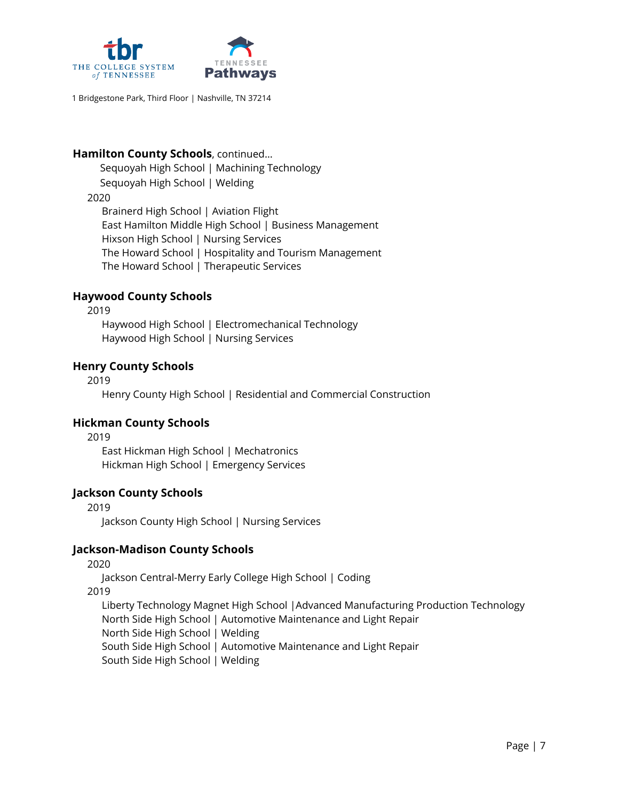

### **Hamilton County Schools**, continued…

Sequoyah High School | Machining Technology Sequoyah High School | Welding

#### 2020

Brainerd High School | Aviation Flight East Hamilton Middle High School | Business Management Hixson High School | Nursing Services The Howard School | Hospitality and Tourism Management The Howard School | Therapeutic Services

### **Haywood County Schools**

2019

Haywood High School | Electromechanical Technology Haywood High School | Nursing Services

#### **Henry County Schools**

2019

Henry County High School | Residential and Commercial Construction

### **Hickman County Schools**

2019

East Hickman High School | Mechatronics Hickman High School | Emergency Services

### **Jackson County Schools**

2019

Jackson County High School | Nursing Services

### **Jackson-Madison County Schools**

2020

Jackson Central-Merry Early College High School | Coding

2019

Liberty Technology Magnet High School |Advanced Manufacturing Production Technology North Side High School | Automotive Maintenance and Light Repair North Side High School | Welding South Side High School | Automotive Maintenance and Light Repair South Side High School | Welding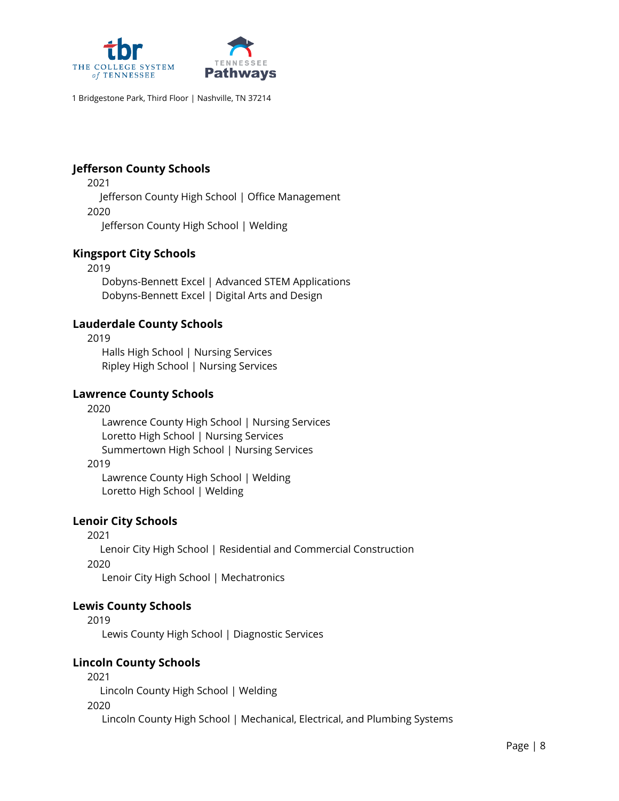

### **Jefferson County Schools**

2021

Jefferson County High School | Office Management 2020

Jefferson County High School | Welding

# **Kingsport City Schools**

2019 Dobyns-Bennett Excel | Advanced STEM Applications Dobyns-Bennett Excel | Digital Arts and Design

## **Lauderdale County Schools**

2019 Halls High School | Nursing Services Ripley High School | Nursing Services

### **Lawrence County Schools**

#### 2020

Lawrence County High School | Nursing Services Loretto High School | Nursing Services Summertown High School | Nursing Services

#### 2019

Lawrence County High School | Welding Loretto High School | Welding

### **Lenoir City Schools**

2021

Lenoir City High School | Residential and Commercial Construction 2020

Lenoir City High School | Mechatronics

### **Lewis County Schools**

2019

Lewis County High School | Diagnostic Services

### **Lincoln County Schools**

2021

Lincoln County High School | Welding

2020

Lincoln County High School | Mechanical, Electrical, and Plumbing Systems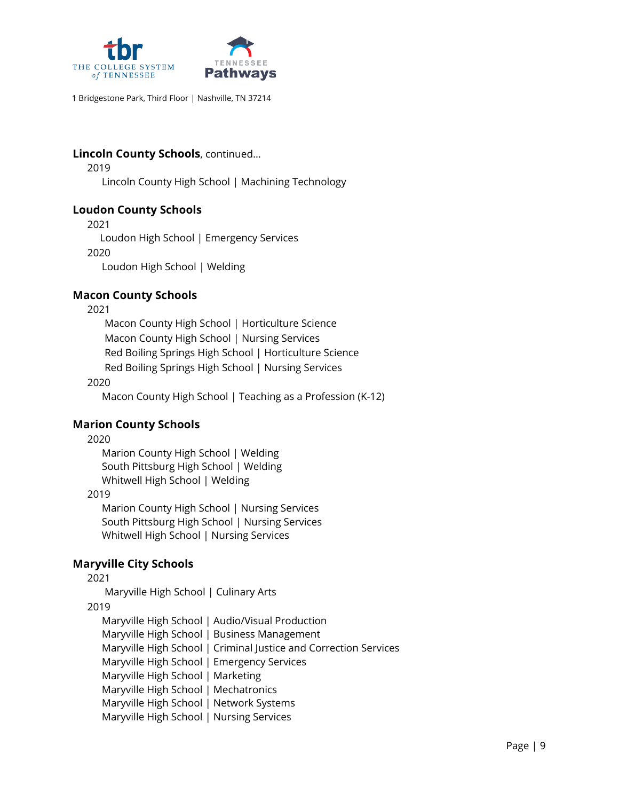

## **Lincoln County Schools**, continued…

2019

Lincoln County High School | Machining Technology

### **Loudon County Schools**

2021

Loudon High School | Emergency Services

2020

Loudon High School | Welding

## **Macon County Schools**

2021

Macon County High School | Horticulture Science Macon County High School | Nursing Services Red Boiling Springs High School | Horticulture Science Red Boiling Springs High School | Nursing Services

#### 2020

Macon County High School | Teaching as a Profession (K-12)

### **Marion County Schools**

2020

Marion County High School | Welding South Pittsburg High School | Welding Whitwell High School | Welding

### 2019

Marion County High School | Nursing Services South Pittsburg High School | Nursing Services Whitwell High School | Nursing Services

# **Maryville City Schools**

2021

Maryville High School | Culinary Arts

### 2019

Maryville High School | Audio/Visual Production Maryville High School | Business Management Maryville High School | Criminal Justice and Correction Services Maryville High School | Emergency Services Maryville High School | Marketing Maryville High School | Mechatronics Maryville High School | Network Systems Maryville High School | Nursing Services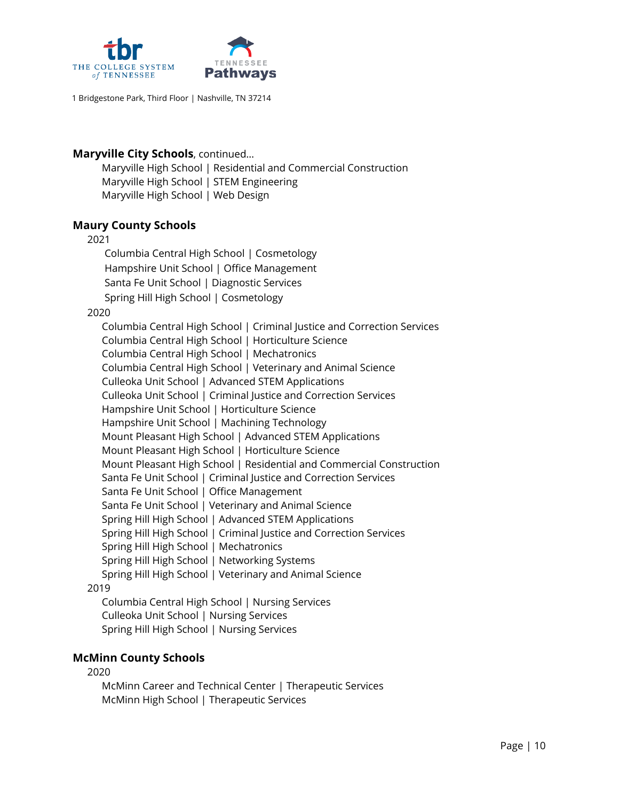

### **Maryville City Schools**, continued…

Maryville High School | Residential and Commercial Construction Maryville High School | STEM Engineering Maryville High School | Web Design

### **Maury County Schools**

#### 2021

Columbia Central High School | Cosmetology Hampshire Unit School | Office Management Santa Fe Unit School | Diagnostic Services Spring Hill High School | Cosmetology

2020

Columbia Central High School | Criminal Justice and Correction Services Columbia Central High School | Horticulture Science Columbia Central High School | Mechatronics Columbia Central High School | Veterinary and Animal Science Culleoka Unit School | Advanced STEM Applications Culleoka Unit School | Criminal Justice and Correction Services Hampshire Unit School | Horticulture Science Hampshire Unit School | Machining Technology Mount Pleasant High School | Advanced STEM Applications Mount Pleasant High School | Horticulture Science Mount Pleasant High School | Residential and Commercial Construction Santa Fe Unit School | Criminal Justice and Correction Services Santa Fe Unit School | Office Management Santa Fe Unit School | Veterinary and Animal Science Spring Hill High School | Advanced STEM Applications Spring Hill High School | Criminal Justice and Correction Services Spring Hill High School | Mechatronics Spring Hill High School | Networking Systems Spring Hill High School | Veterinary and Animal Science 2019 Columbia Central High School | Nursing Services Culleoka Unit School | Nursing Services

Spring Hill High School | Nursing Services

### **McMinn County Schools**

2020

McMinn Career and Technical Center | Therapeutic Services McMinn High School | Therapeutic Services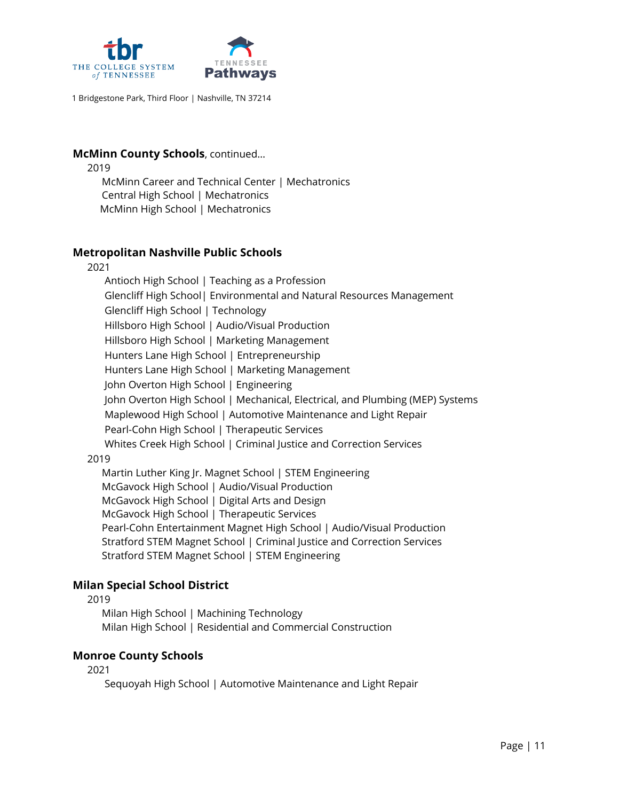

#### **McMinn County Schools**, continued…

- 2019
	- McMinn Career and Technical Center | Mechatronics Central High School | Mechatronics McMinn High School | Mechatronics

#### **Metropolitan Nashville Public Schools**

2021

Antioch High School | Teaching as a Profession Glencliff High School| Environmental and Natural Resources Management Glencliff High School | Technology Hillsboro High School | Audio/Visual Production Hillsboro High School | Marketing Management Hunters Lane High School | Entrepreneurship Hunters Lane High School | Marketing Management John Overton High School | Engineering John Overton High School | Mechanical, Electrical, and Plumbing (MEP) Systems Maplewood High School | Automotive Maintenance and Light Repair Pearl-Cohn High School | Therapeutic Services Whites Creek High School | Criminal Justice and Correction Services

#### 2019

Martin Luther King Jr. Magnet School | STEM Engineering McGavock High School | Audio/Visual Production McGavock High School | Digital Arts and Design McGavock High School | Therapeutic Services Pearl-Cohn Entertainment Magnet High School | Audio/Visual Production Stratford STEM Magnet School | Criminal Justice and Correction Services Stratford STEM Magnet School | STEM Engineering

### **Milan Special School District**

#### 2019

Milan High School | Machining Technology Milan High School | Residential and Commercial Construction

#### **Monroe County Schools**

2021

Sequoyah High School | Automotive Maintenance and Light Repair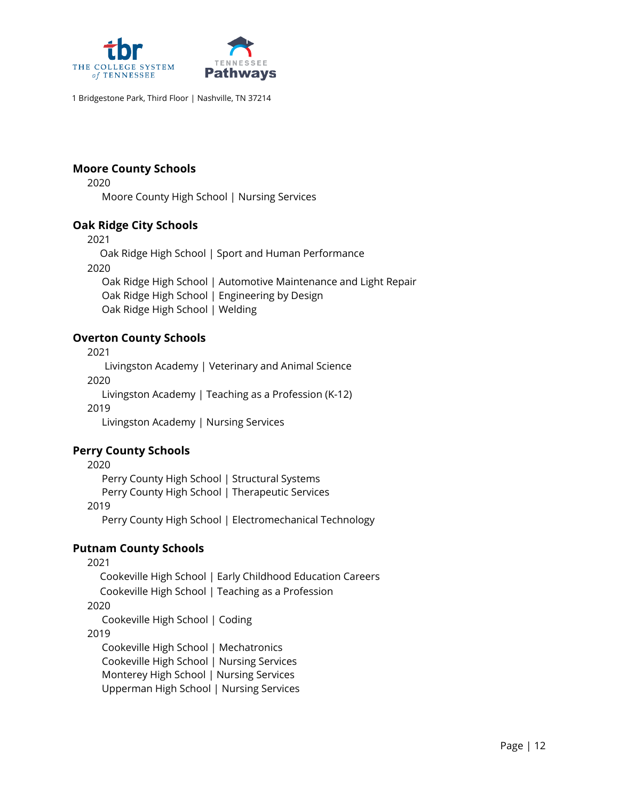

### **Moore County Schools**

2020 Moore County High School | Nursing Services

### **Oak Ridge City Schools**

2021

Oak Ridge High School | Sport and Human Performance 2020 Oak Ridge High School | Automotive Maintenance and Light Repair Oak Ridge High School | Engineering by Design

Oak Ridge High School | Welding

### **Overton County Schools**

2021

Livingston Academy | Veterinary and Animal Science 2020

Livingston Academy | Teaching as a Profession (K-12)

2019

Livingston Academy | Nursing Services

### **Perry County Schools**

2020 Perry County High School | Structural Systems Perry County High School | Therapeutic Services 2019 Perry County High School | Electromechanical Technology

# **Putnam County Schools**

2021 Cookeville High School | Early Childhood Education Careers Cookeville High School | Teaching as a Profession 2020 Cookeville High School | Coding 2019 Cookeville High School | Mechatronics Cookeville High School | Nursing Services Monterey High School | Nursing Services Upperman High School | Nursing Services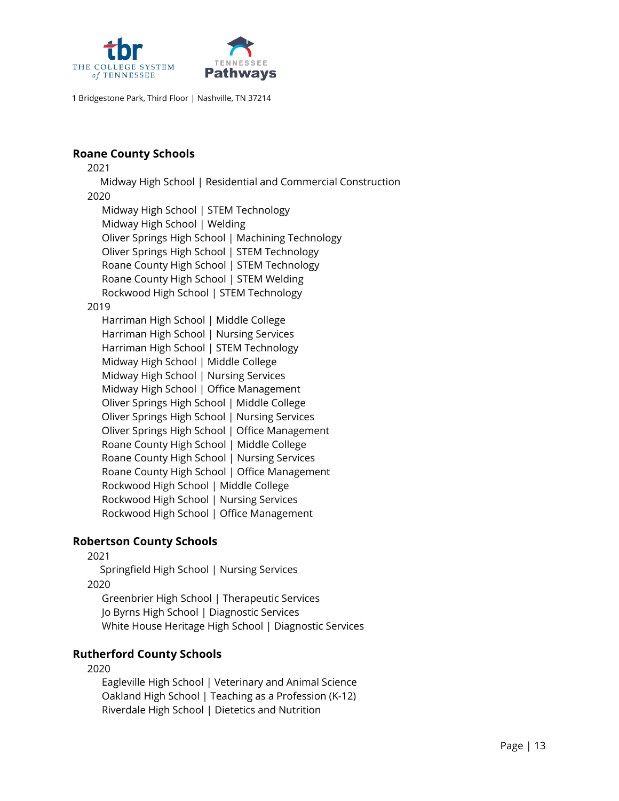

#### **Roane County Schools**

2021

Midway High School | Residential and Commercial Construction

#### 2020

Midway High School | STEM Technology Midway High School | Welding Oliver Springs High School | Machining Technology Oliver Springs High School | STEM Technology Roane County High School | STEM Technology Roane County High School | STEM Welding Rockwood High School | STEM Technology

#### 2019

Harriman High School | Middle College Harriman High School | Nursing Services Harriman High School | STEM Technology Midway High School | Middle College Midway High School | Nursing Services Midway High School | Office Management Oliver Springs High School | Middle College Oliver Springs High School | Nursing Services Oliver Springs High School | Office Management Roane County High School | Middle College Roane County High School | Nursing Services Roane County High School | Office Management Rockwood High School | Middle College Rockwood High School | Nursing Services Rockwood High School | Office Management

### **Robertson County Schools**

2021

Springfield High School | Nursing Services

2020

Greenbrier High School | Therapeutic Services Jo Byrns High School | Diagnostic Services White House Heritage High School | Diagnostic Services

### **Rutherford County Schools**

#### 2020

Eagleville High School | Veterinary and Animal Science Oakland High School | Teaching as a Profession (K-12) Riverdale High School | Dietetics and Nutrition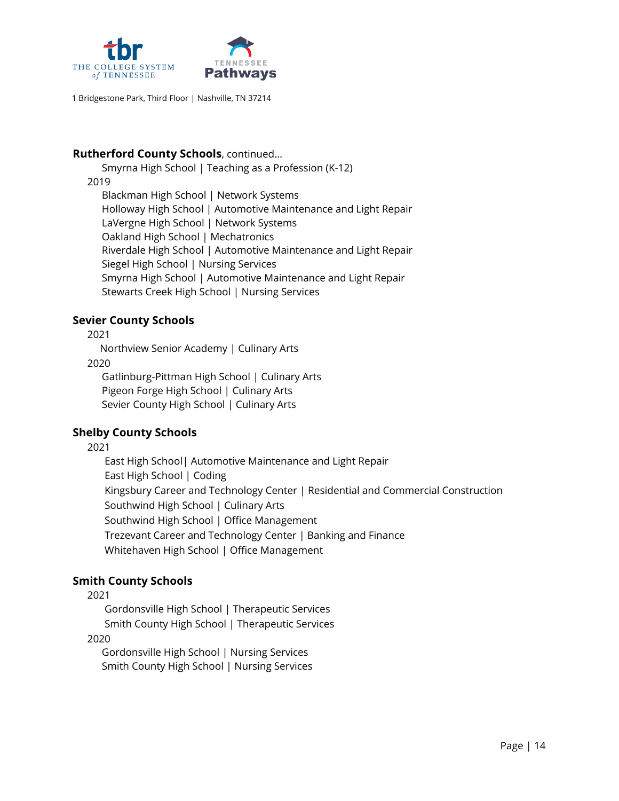

### **Rutherford County Schools**, continued…

Smyrna High School | Teaching as a Profession (K-12) 2019 Blackman High School | Network Systems Holloway High School | Automotive Maintenance and Light Repair LaVergne High School | Network Systems Oakland High School | Mechatronics Riverdale High School | Automotive Maintenance and Light Repair Siegel High School | Nursing Services Smyrna High School | Automotive Maintenance and Light Repair Stewarts Creek High School | Nursing Services

## **Sevier County Schools**

2021

Northview Senior Academy | Culinary Arts

2020

Gatlinburg-Pittman High School | Culinary Arts Pigeon Forge High School | Culinary Arts Sevier County High School | Culinary Arts

# **Shelby County Schools**

2021

East High School| Automotive Maintenance and Light Repair East High School | Coding Kingsbury Career and Technology Center | Residential and Commercial Construction Southwind High School | Culinary Arts Southwind High School | Office Management Trezevant Career and Technology Center | Banking and Finance Whitehaven High School | Office Management

# **Smith County Schools**

2021

Gordonsville High School | Therapeutic Services Smith County High School | Therapeutic Services

2020

Gordonsville High School | Nursing Services Smith County High School | Nursing Services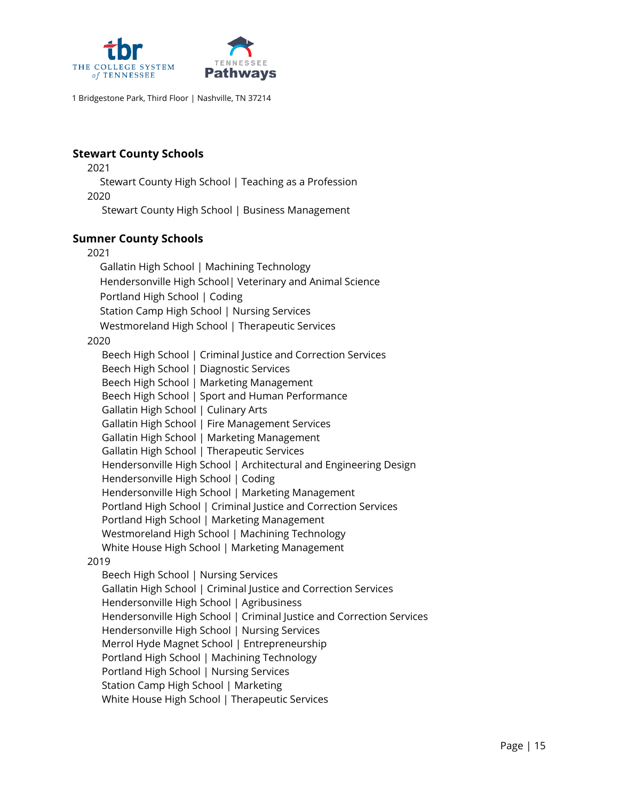

### **Stewart County Schools**

2021

Stewart County High School | Teaching as a Profession

2020

Stewart County High School | Business Management

### **Sumner County Schools**

#### 2021

Gallatin High School | Machining Technology Hendersonville High School| Veterinary and Animal Science Portland High School | Coding Station Camp High School | Nursing Services Westmoreland High School | Therapeutic Services

#### 2020

Beech High School | Criminal Justice and Correction Services Beech High School | Diagnostic Services Beech High School | Marketing Management Beech High School | Sport and Human Performance Gallatin High School | Culinary Arts Gallatin High School | Fire Management Services Gallatin High School | Marketing Management Gallatin High School | Therapeutic Services Hendersonville High School | Architectural and Engineering Design Hendersonville High School | Coding Hendersonville High School | Marketing Management Portland High School | Criminal Justice and Correction Services Portland High School | Marketing Management Westmoreland High School | Machining Technology White House High School | Marketing Management 2019 Beech High School | Nursing Services Gallatin High School | Criminal Justice and Correction Services Hendersonville High School | Agribusiness

Hendersonville High School | Criminal Justice and Correction Services

Hendersonville High School | Nursing Services

Merrol Hyde Magnet School | Entrepreneurship

Portland High School | Machining Technology

Portland High School | Nursing Services

Station Camp High School | Marketing

White House High School | Therapeutic Services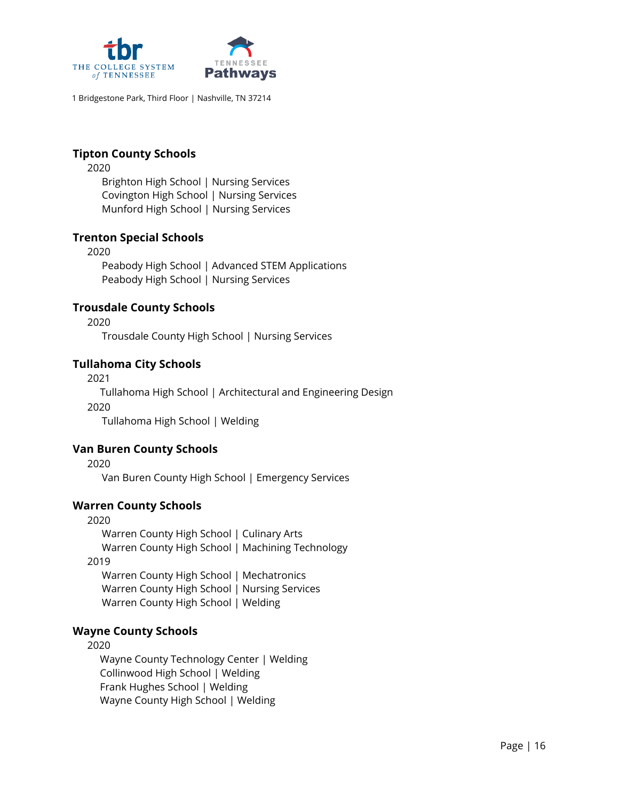

### **Tipton County Schools**

2020

Brighton High School | Nursing Services Covington High School | Nursing Services Munford High School | Nursing Services

### **Trenton Special Schools**

2020

Peabody High School | Advanced STEM Applications Peabody High School | Nursing Services

### **Trousdale County Schools**

2020

Trousdale County High School | Nursing Services

### **Tullahoma City Schools**

2021

Tullahoma High School | Architectural and Engineering Design 2020 Tullahoma High School | Welding

### **Van Buren County Schools**

2020

Van Buren County High School | Emergency Services

### **Warren County Schools**

2020 Warren County High School | Culinary Arts Warren County High School | Machining Technology 2019 Warren County High School | Mechatronics Warren County High School | Nursing Services

Warren County High School | Welding

### **Wayne County Schools**

2020

Wayne County Technology Center | Welding Collinwood High School | Welding Frank Hughes School | Welding Wayne County High School | Welding